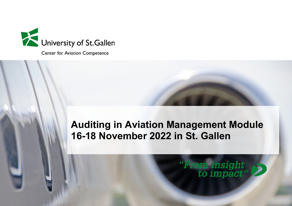

**Center for Aviation Competence** 

# **Auditing in Aviation Management Module 16-18 November 2022 in St. Gallen**

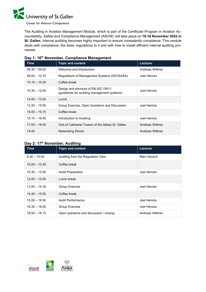

**Center for Aviation Competence** 

The Auditing in Aviation Management Module, which is part of the Certificate Program in Aviation Accountability, Safety and Compliance Management (ASCM), will take place on **16-18 November 2022 in St. Gallen.** Internal auditing becomes highly important to ensure consistently compliance. This module deals with compliance, the basic regulations to it and with how to install efficient internal auditing processes.

| Time            | <b>Topic and content</b>                                                             | Lecturer        |
|-----------------|--------------------------------------------------------------------------------------|-----------------|
| $08.30 - 09.00$ | Welcome and Introduction                                                             | Andreas Wittmer |
| $09.00 - 10.15$ | Regulations of Management Systems (ISO/EASA)                                         | Joel Hencks     |
| $10.15 - 10.30$ | Coffee break                                                                         |                 |
| $10.30 - 12.00$ | Design and structure of EN ISO 19011<br>(guidelines for auditing management systems) | Joel Hencks     |
| $12.00 - 13.00$ | Lunch                                                                                |                 |
| $13.30 - 15.00$ | Group Exercise, Open Questions and Discussion                                        | Joel Hencks     |
| $15.00 - 15.15$ | Coffee break                                                                         |                 |
| $15.15 - 16.45$ | Introduction to Auditing                                                             | Joel Hencks     |
| $17.00 - 18.00$ | Visit of Cathedral Towers of the Abbey St. Gallen                                    | Andreas Wittmer |
| 19.00           | <b>Networking Dinner</b>                                                             | Andreas Wittmer |

## **Day 1: 16th November, Compliance Management**

# **Day 2: 17th November, Auditing**

| <b>Time</b>     | <b>Topic and content</b>                | Lecturer        |
|-----------------|-----------------------------------------|-----------------|
| $8.30 - 10.00$  | Auditing from the Regulators View       | Marc Keusch     |
| $10.00 - 10.30$ | Coffee break                            |                 |
| $10.30 - 12.00$ | <b>Audit Preparation</b>                | Joel Hencks     |
| $12.00 - 13.00$ | Lunch break                             |                 |
| $13.00 - 14.30$ | Group Exercise                          | Joel Hencks     |
| $14.30 - 15.00$ | Coffee break                            |                 |
| $15.00 - 16.30$ | Audit Performance                       | Joel Hencks     |
| $16.30 - 18.00$ | Group Exercise                          | Joel Hencks     |
| $18.00 - 18.15$ | Open questions and discussion / closing | Andreas Wittmer |